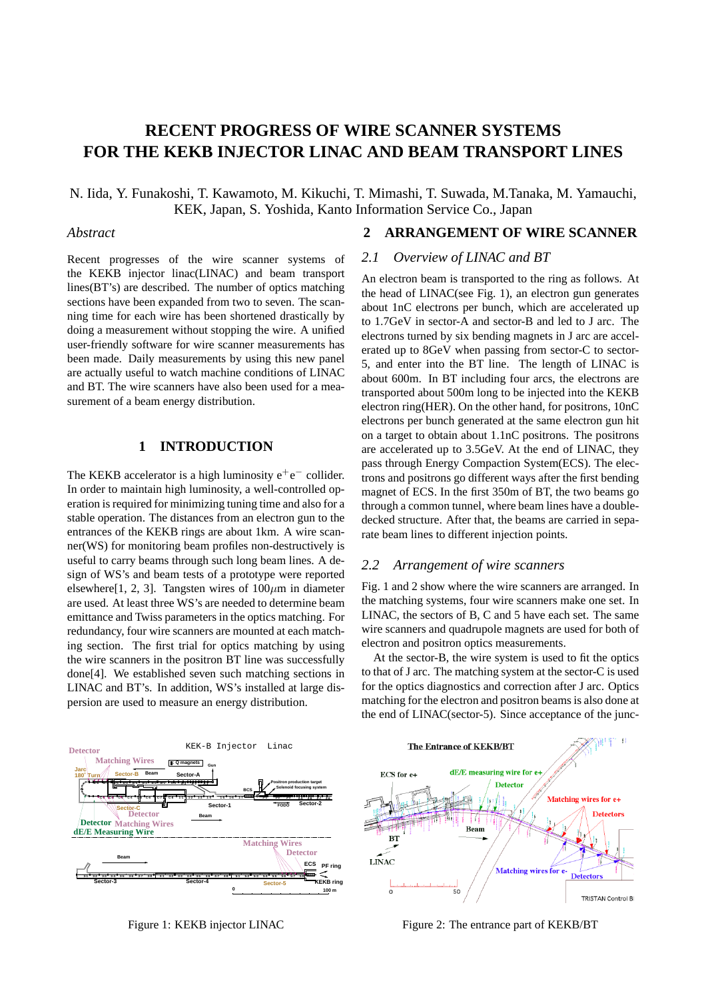# **RECENT PROGRESS OF WIRE SCANNER SYSTEMS FOR THE KEKB INJECTOR LINAC AND BEAM TRANSPORT LINES**

N. Iida, Y. Funakoshi, T. Kawamoto, M. Kikuchi, T. Mimashi, T. Suwada, M.Tanaka, M. Yamauchi, KEK, Japan, S. Yoshida, Kanto Information Service Co., Japan

## *Abstract*

Recent progresses of the wire scanner systems of the KEKB injector linac(LINAC) and beam transport lines(BT's) are described. The number of optics matching sections have been expanded from two to seven. The scanning time for each wire has been shortened drastically by doing a measurement without stopping the wire. A unified user-friendly software for wire scanner measurements has been made. Daily measurements by using this new panel are actually useful to watch machine conditions of LINAC and BT. The wire scanners have also been used for a measurement of a beam energy distribution.

# **1 INTRODUCTION**

The KEKB accelerator is a high luminosity  $e^+e^-$  collider. In order to maintain high luminosity, a well-controlled operation is required for minimizing tuning time and also for a stable operation. The distances from an electron gun to the entrances of the KEKB rings are about 1km. A wire scanner(WS) for monitoring beam profiles non-destructively is useful to carry beams through such long beam lines. A design of WS's and beam tests of a prototype were reported elsewhere<sup>[1, 2, 3]. Tangsten wires of  $100 \mu m$  in diameter</sup> are used. At least three WS's are needed to determine beam emittance and Twiss parameters in the optics matching. For redundancy, four wire scanners are mounted at each matching section. The first trial for optics matching by using the wire scanners in the positron BT line was successfully done[4]. We established seven such matching sections in LINAC and BT's. In addition, WS's installed at large dispersion are used to measure an energy distribution.

# **2 ARRANGEMENT OF WIRE SCANNER**

# *2.1 Overview of LINAC and BT*

An electron beam is transported to the ring as follows. At the head of LINAC(see Fig. 1), an electron gun generates about 1nC electrons per bunch, which are accelerated up to 1.7GeV in sector-A and sector-B and led to J arc. The electrons turned by six bending magnets in J arc are accelerated up to 8GeV when passing from sector-C to sector-5, and enter into the BT line. The length of LINAC is about 600m. In BT including four arcs, the electrons are transported about 500m long to be injected into the KEKB electron ring(HER). On the other hand, for positrons, 10nC electrons per bunch generated at the same electron gun hit on a target to obtain about 1.1nC positrons. The positrons are accelerated up to 3.5GeV. At the end of LINAC, they pass through Energy Compaction System(ECS). The electrons and positrons go different ways after the first bending magnet of ECS. In the first 350m of BT, the two beams go through a common tunnel, where beam lines have a doubledecked structure. After that, the beams are carried in separate beam lines to different injection points.

### *2.2 Arrangement of wire scanners*

Fig. 1 and 2 show where the wire scanners are arranged. In the matching systems, four wire scanners make one set. In LINAC, the sectors of B, C and 5 have each set. The same wire scanners and quadrupole magnets are used for both of electron and positron optics measurements.

At the sector-B, the wire system is used to fit the optics to that of J arc. The matching system at the sector-C is used for the optics diagnostics and correction after J arc. Optics matching for the electron and positron beams is also done at the end of LINAC(sector-5). Since acceptance of the junc-



Figure 1: KEKB injector LINAC

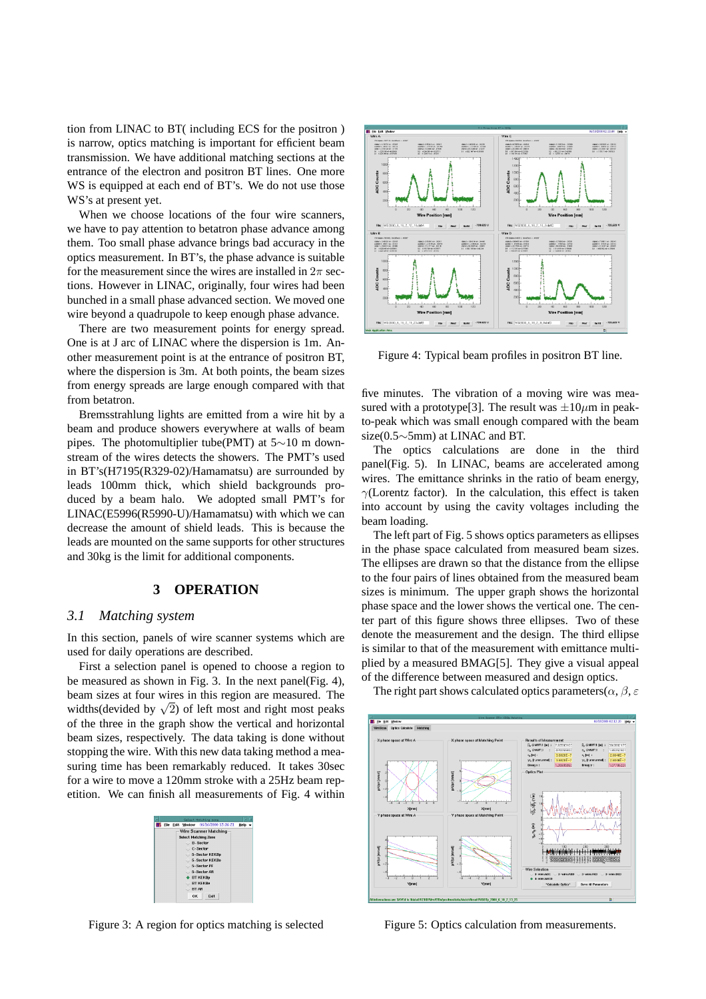tion from LINAC to BT( including ECS for the positron ) is narrow, optics matching is important for efficient beam transmission. We have additional matching sections at the entrance of the electron and positron BT lines. One more WS is equipped at each end of BT's. We do not use those WS's at present yet.

When we choose locations of the four wire scanners, we have to pay attention to betatron phase advance among them. Too small phase advance brings bad accuracy in the optics measurement. In BT's, the phase advance is suitable for the measurement since the wires are installed in  $2\pi$  sections. However in LINAC, originally, four wires had been bunched in a small phase advanced section. We moved one wire beyond a quadrupole to keep enough phase advance.

There are two measurement points for energy spread. One is at J arc of LINAC where the dispersion is 1m. Another measurement point is at the entrance of positron BT, where the dispersion is 3m. At both points, the beam sizes from energy spreads are large enough compared with that from betatron.

Bremsstrahlung lights are emitted from a wire hit by a beam and produce showers everywhere at walls of beam pipes. The photomultiplier tube(PMT) at 5∼10 m downstream of the wires detects the showers. The PMT's used in BT's(H7195(R329-02)/Hamamatsu) are surrounded by leads 100mm thick, which shield backgrounds produced by a beam halo. We adopted small PMT's for LINAC(E5996(R5990-U)/Hamamatsu) with which we can decrease the amount of shield leads. This is because the leads are mounted on the same supports for other structures and 30kg is the limit for additional components.

#### **3 OPERATION**

#### *3.1 Matching system*

In this section, panels of wire scanner systems which are used for daily operations are described.

First a selection panel is opened to choose a region to be measured as shown in Fig. 3. In the next panel(Fig. 4), beam sizes at four wires in this region are measured. The widths(devided by  $\sqrt{2}$ ) of left most and right most peaks of the three in the graph show the vertical and horizontal beam sizes, respectively. The data taking is done without stopping the wire. With this new data taking method a measuring time has been remarkably reduced. It takes 30sec for a wire to move a 120mm stroke with a 25Hz beam repetition. We can finish all measurements of Fig. 4 within

| Select Matching zone                           |      |
|------------------------------------------------|------|
| <b>SH</b> File Edit Window 06/16/2000 15:36:51 | Help |
| Wire Scanner Matching                          |      |
| <b>Select Matching Zone</b>                    |      |
| <b>B-Sector</b>                                |      |
| C-Sector                                       |      |
| 5-Sector KEKBp                                 |      |
| 5-Sector KEKBe                                 |      |
| $-5 -$ Sector PF                               |      |
| 5-Sector AR                                    |      |
| <b>BT KEKBp</b>                                |      |
| <b>RT KEKRe</b>                                |      |
| <b>BT AR</b>                                   |      |
| Exit<br>ΩK                                     |      |

Figure 3: A region for optics matching is selected



Figure 4: Typical beam profiles in positron BT line.

five minutes. The vibration of a moving wire was measured with a prototype<sup>[3]</sup>. The result was  $\pm 10 \mu m$  in peakto-peak which was small enough compared with the beam size(0.5∼5mm) at LINAC and BT.

The optics calculations are done in the third panel(Fig. 5). In LINAC, beams are accelerated among wires. The emittance shrinks in the ratio of beam energy, *γ*(Lorentz factor). In the calculation, this effect is taken into account by using the cavity voltages including the beam loading.

The left part of Fig. 5 shows optics parameters as ellipses in the phase space calculated from measured beam sizes. The ellipses are drawn so that the distance from the ellipse to the four pairs of lines obtained from the measured beam sizes is minimum. The upper graph shows the horizontal phase space and the lower shows the vertical one. The center part of this figure shows three ellipses. Two of these denote the measurement and the design. The third ellipse is similar to that of the measurement with emittance multiplied by a measured BMAG[5]. They give a visual appeal of the difference between measured and design optics.

The right part shows calculated optics parameters( $\alpha$ ,  $\beta$ ,  $\varepsilon$ 



Figure 5: Optics calculation from measurements.